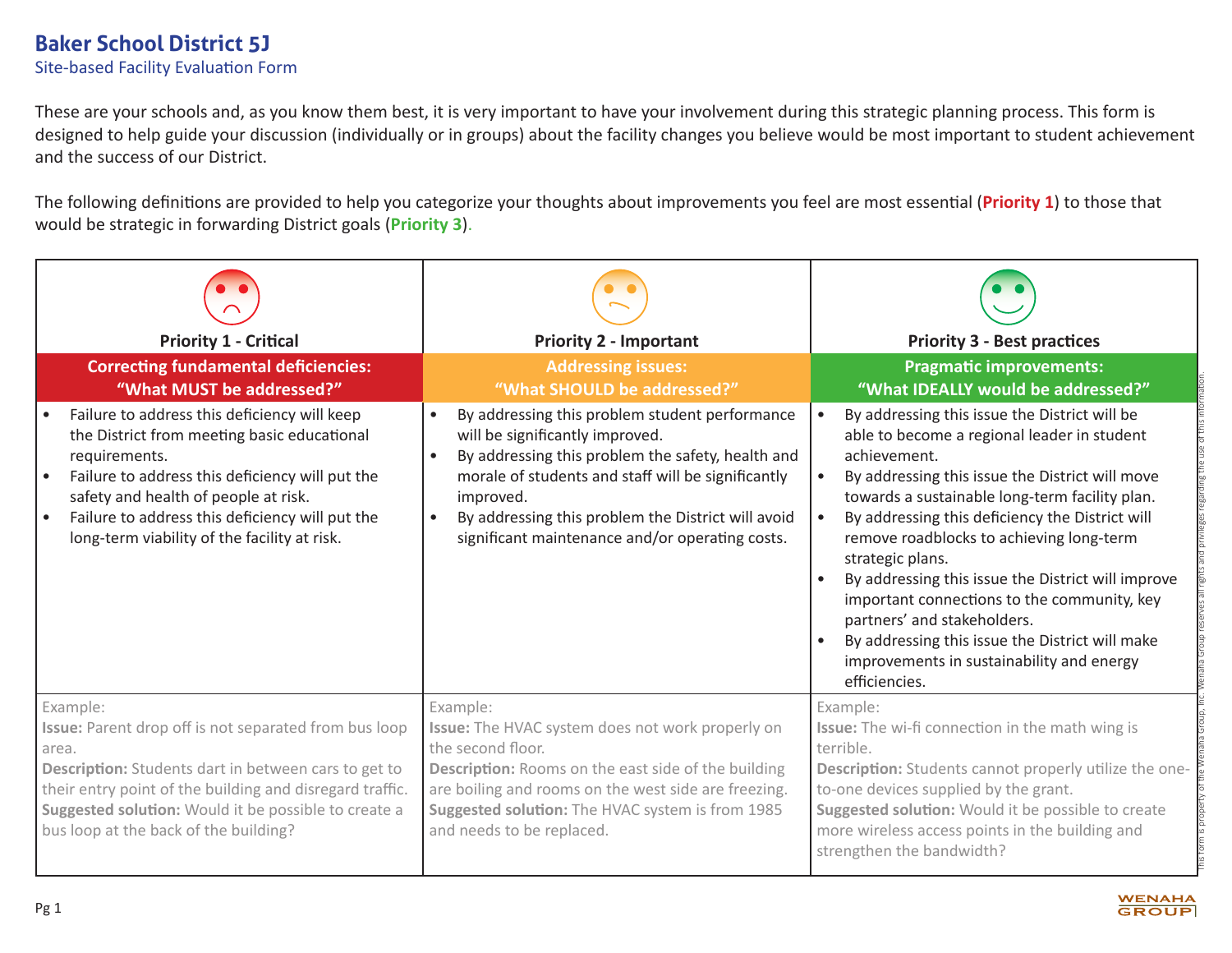These are your schools and, as you know them best, it is very important to have your involvement during this strategic planning process. This form is designed to help guide your discussion (individually or in groups) about the facility changes you believe would be most important to student achievement and the success of our District.

The following definitions are provided to help you categorize your thoughts about improvements you feel are most essential (**Priority 1**) to those that would be strategic in forwarding District goals (**Priority 3**).

| <b>Priority 1 - Critical</b><br><b>Correcting fundamental deficiencies:</b>                                                                                                                                                                                                                                | <b>Priority 2 - Important</b><br><b>Addressing issues:</b>                                                                                                                                                                                                                                                         | <b>Priority 3 - Best practices</b><br><b>Pragmatic improvements:</b>                                                                                                                                                                                                                                                                                                                                                                                                                                                                                                                                                |
|------------------------------------------------------------------------------------------------------------------------------------------------------------------------------------------------------------------------------------------------------------------------------------------------------------|--------------------------------------------------------------------------------------------------------------------------------------------------------------------------------------------------------------------------------------------------------------------------------------------------------------------|---------------------------------------------------------------------------------------------------------------------------------------------------------------------------------------------------------------------------------------------------------------------------------------------------------------------------------------------------------------------------------------------------------------------------------------------------------------------------------------------------------------------------------------------------------------------------------------------------------------------|
| "What MUST be addressed?"                                                                                                                                                                                                                                                                                  | "What SHOULD be addressed?"                                                                                                                                                                                                                                                                                        | "What IDEALLY would be addressed?"                                                                                                                                                                                                                                                                                                                                                                                                                                                                                                                                                                                  |
| Failure to address this deficiency will keep<br>the District from meeting basic educational<br>requirements.<br>Failure to address this deficiency will put the<br>safety and health of people at risk.<br>Failure to address this deficiency will put the<br>long-term viability of the facility at risk. | By addressing this problem student performance<br>will be significantly improved.<br>By addressing this problem the safety, health and<br>morale of students and staff will be significantly<br>improved.<br>By addressing this problem the District will avoid<br>significant maintenance and/or operating costs. | By addressing this issue the District will be<br>able to become a regional leader in student<br>achievement.<br>By addressing this issue the District will move<br>$\bullet$<br>towards a sustainable long-term facility plan.<br>By addressing this deficiency the District will<br>$\bullet$<br>remove roadblocks to achieving long-term<br>strategic plans.<br>By addressing this issue the District will improve<br>important connections to the community, key<br>partners' and stakeholders.<br>By addressing this issue the District will make<br>improvements in sustainability and energy<br>efficiencies. |
| Example:<br>Issue: Parent drop off is not separated from bus loop<br>area.<br>Description: Students dart in between cars to get to<br>their entry point of the building and disregard traffic.<br>Suggested solution: Would it be possible to create a<br>bus loop at the back of the building?            | Example:<br>Issue: The HVAC system does not work properly on<br>the second floor.<br>Description: Rooms on the east side of the building<br>are boiling and rooms on the west side are freezing.<br>Suggested solution: The HVAC system is from 1985<br>and needs to be replaced.                                  | Example:<br>Issue: The wi-fi connection in the math wing is<br>terrible.<br>Description: Students cannot properly utilize the one-<br>to-one devices supplied by the grant.<br>Suggested solution: Would it be possible to create<br>more wireless access points in the building and<br>strengthen the bandwidth?                                                                                                                                                                                                                                                                                                   |